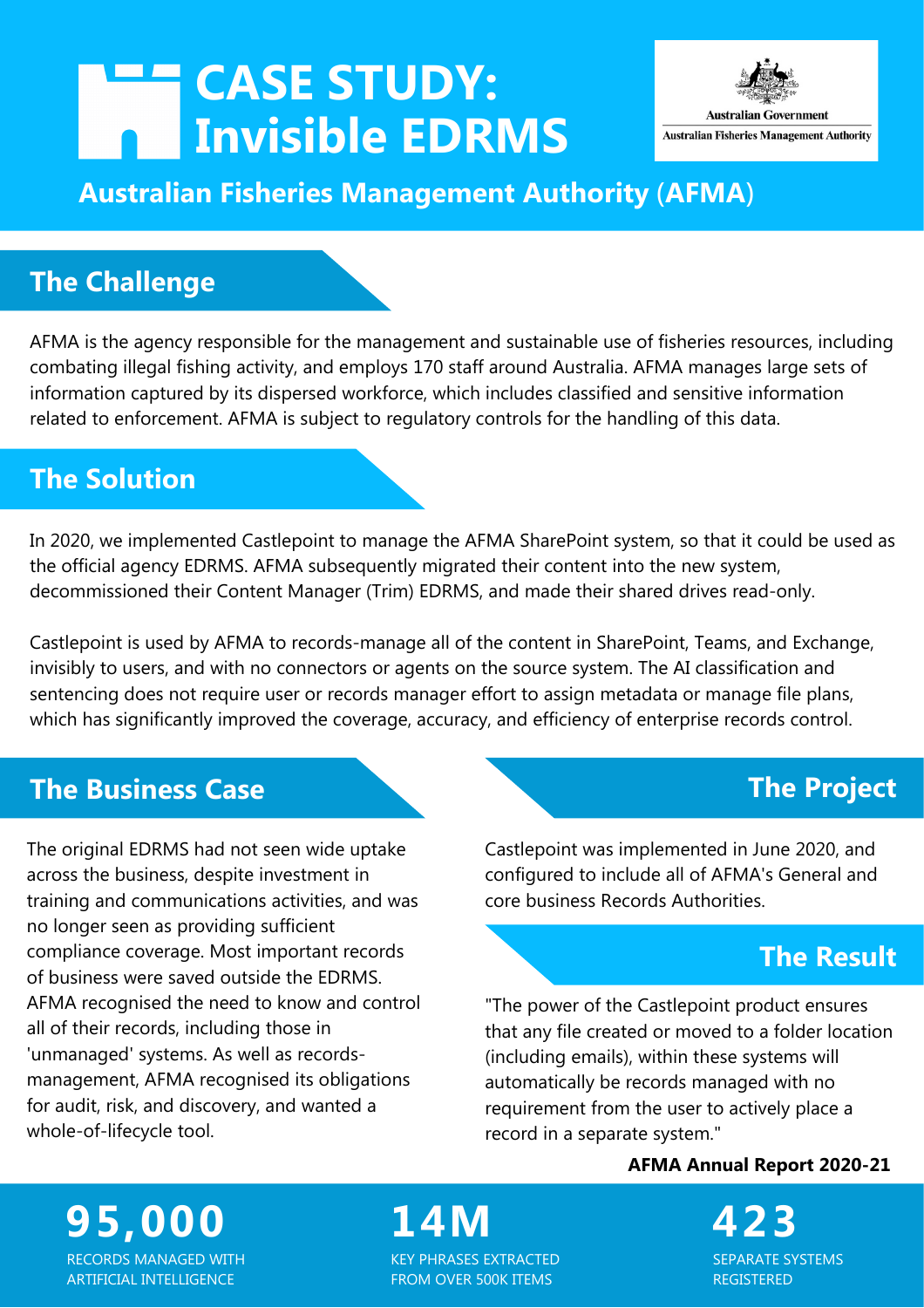# **CASE STUDY: Invisible EDRMS**



# **Australian Fisheries Management Authority** (**AFMA**)

# **The Challenge**

AFMA is the agency responsible for the management and sustainable use of fisheries resources, including combating illegal fishing activity, and employs 170 staff around Australia. AFMA manages large sets of information captured by its dispersed workforce, which includes classified and sensitive information related to enforcement. AFMA is subject to regulatory controls for the handling of this data.

# **The Solution**

In 2020, we implemented Castlepoint to manage the AFMA SharePoint system, so that it could be used as the official agency EDRMS. AFMA subsequently migrated their content into the new system, decommissioned their Content Manager (Trim) EDRMS, and made their shared drives read-only.

Castlepoint is used by AFMA to records-manage all of the content in SharePoint, Teams, and Exchange, invisibly to users, and with no connectors or agents on the source system. The AI classification and sentencing does not require user or records manager effort to assign metadata or manage file plans, which has significantly improved the coverage, accuracy, and efficiency of enterprise records control.

### **The Business Case**

The original EDRMS had not seen wide uptake across the business, despite investment in training and communications activities, and was no longer seen as providing sufficient compliance coverage. Most important records of business were saved outside the EDRMS. AFMA recognised the need to know and control all of their records, including those in 'unmanaged' systems. As well as recordsmanagement, AFMA recognised its obligations for audit, risk, and discovery, and wanted a whole-of-lifecycle tool.

### **The Project**

Castlepoint was implemented in June 2020, and configured to include all of AFMA's General and core business Records Authorities.

# **The Result**

"The power of the Castlepoint product ensures that any file created or moved to a folder location (including emails), within these systems will automatically be records managed with no requirement from the user to actively place a record in a separate system."

#### **AFMA Annual Report 2020-21**

SEPARATE SYSTEMS REGISTERED

**95,000** RECORDS MANAGED WITH ARTIFICIAL INTELLIGENCE

**14M 423** KEY PHRASES EXTRACTED FROM OVER 500K ITEMS